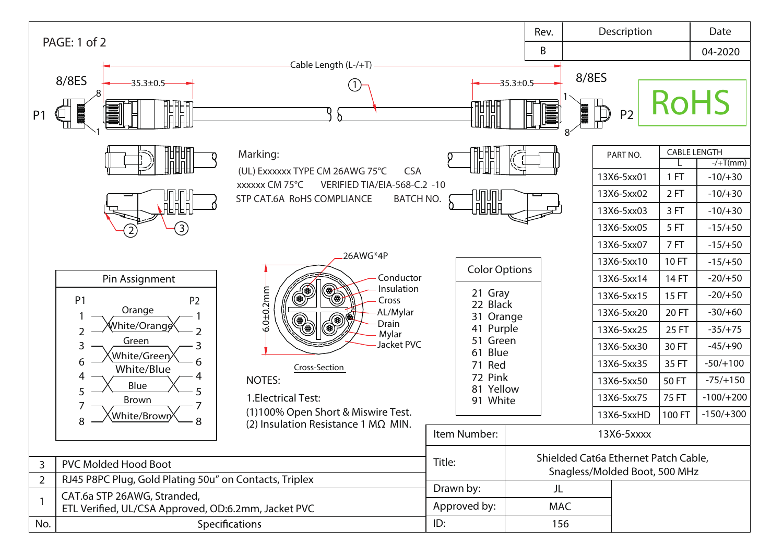